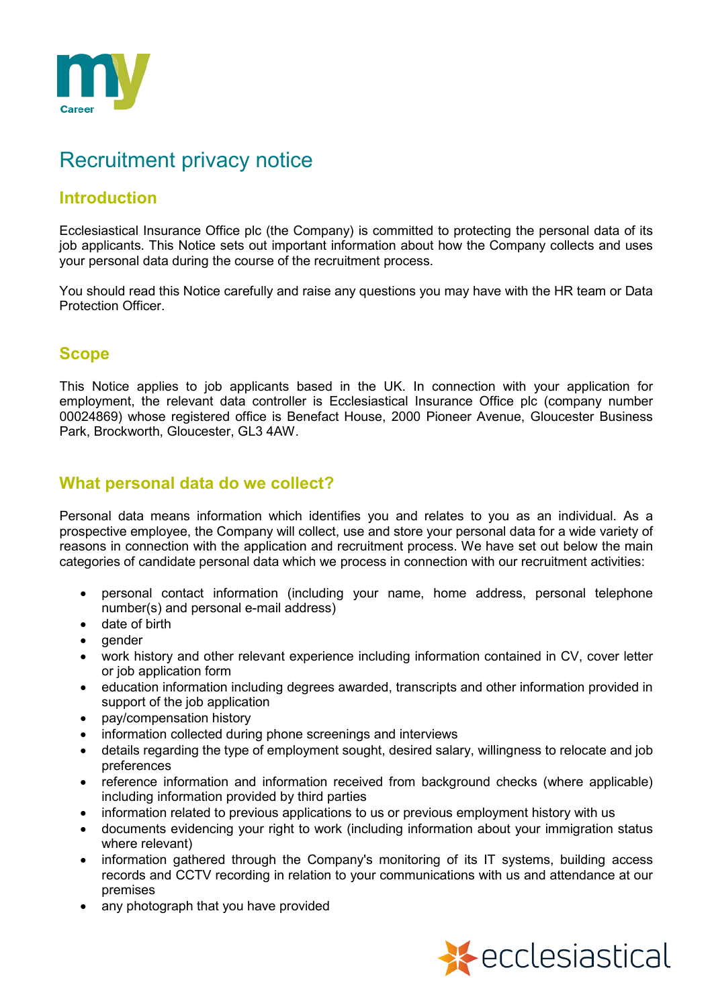

# Recruitment privacy notice

# **Introduction**

Ecclesiastical Insurance Office plc (the Company) is committed to protecting the personal data of its job applicants. This Notice sets out important information about how the Company collects and uses your personal data during the course of the recruitment process.

You should read this Notice carefully and raise any questions you may have with the HR team or Data Protection Officer.

# **Scope**

This Notice applies to job applicants based in the UK. In connection with your application for employment, the relevant data controller is Ecclesiastical Insurance Office plc (company number 00024869) whose registered office is Benefact House, 2000 Pioneer Avenue, Gloucester Business Park, Brockworth, Gloucester, GL3 4AW.

# **What personal data do we collect?**

Personal data means information which identifies you and relates to you as an individual. As a prospective employee, the Company will collect, use and store your personal data for a wide variety of reasons in connection with the application and recruitment process. We have set out below the main categories of candidate personal data which we process in connection with our recruitment activities:

- personal contact information (including your name, home address, personal telephone number(s) and personal e-mail address)
- date of birth
- gender
- work history and other relevant experience including information contained in CV, cover letter or job application form
- education information including degrees awarded, transcripts and other information provided in support of the job application
- pay/compensation history
- information collected during phone screenings and interviews
- details regarding the type of employment sought, desired salary, willingness to relocate and job preferences
- reference information and information received from background checks (where applicable) including information provided by third parties
- information related to previous applications to us or previous employment history with us
- documents evidencing your right to work (including information about your immigration status where relevant)
- information gathered through the Company's monitoring of its IT systems, building access records and CCTV recording in relation to your communications with us and attendance at our premises
- any photograph that you have provided

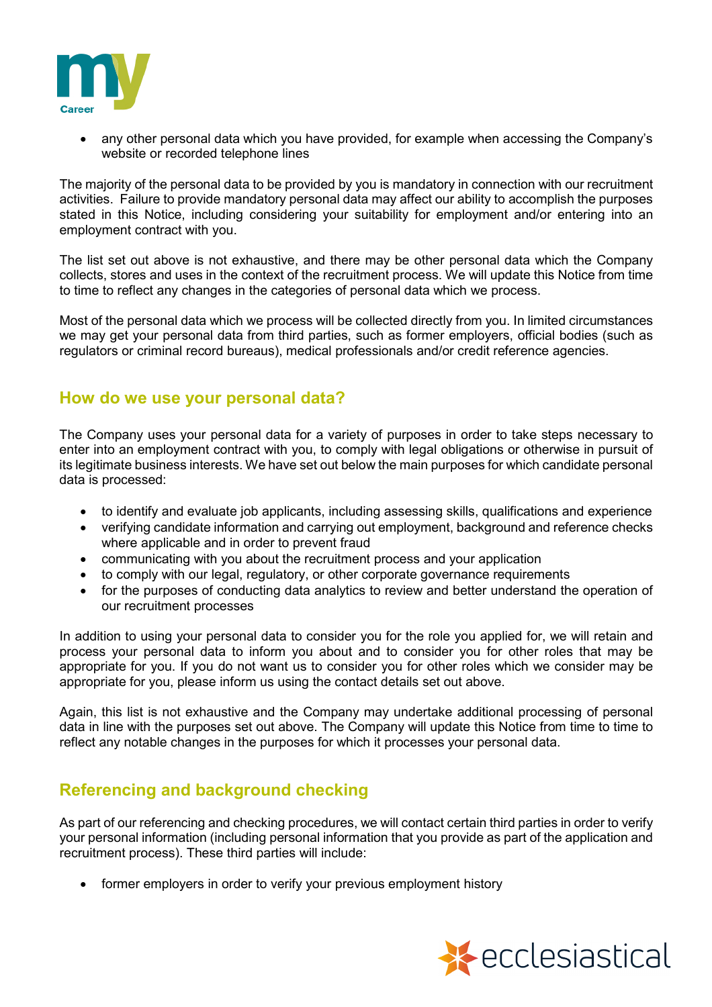

• any other personal data which you have provided, for example when accessing the Company's website or recorded telephone lines

The majority of the personal data to be provided by you is mandatory in connection with our recruitment activities. Failure to provide mandatory personal data may affect our ability to accomplish the purposes stated in this Notice, including considering your suitability for employment and/or entering into an employment contract with you.

The list set out above is not exhaustive, and there may be other personal data which the Company collects, stores and uses in the context of the recruitment process. We will update this Notice from time to time to reflect any changes in the categories of personal data which we process.

Most of the personal data which we process will be collected directly from you. In limited circumstances we may get your personal data from third parties, such as former employers, official bodies (such as regulators or criminal record bureaus), medical professionals and/or credit reference agencies.

### **How do we use your personal data?**

The Company uses your personal data for a variety of purposes in order to take steps necessary to enter into an employment contract with you, to comply with legal obligations or otherwise in pursuit of its legitimate business interests. We have set out below the main purposes for which candidate personal data is processed:

- to identify and evaluate job applicants, including assessing skills, qualifications and experience
- verifying candidate information and carrying out employment, background and reference checks where applicable and in order to prevent fraud
- communicating with you about the recruitment process and your application
- to comply with our legal, regulatory, or other corporate governance requirements
- for the purposes of conducting data analytics to review and better understand the operation of our recruitment processes

In addition to using your personal data to consider you for the role you applied for, we will retain and process your personal data to inform you about and to consider you for other roles that may be appropriate for you. If you do not want us to consider you for other roles which we consider may be appropriate for you, please inform us using the contact details set out above.

Again, this list is not exhaustive and the Company may undertake additional processing of personal data in line with the purposes set out above. The Company will update this Notice from time to time to reflect any notable changes in the purposes for which it processes your personal data.

# **Referencing and background checking**

As part of our referencing and checking procedures, we will contact certain third parties in order to verify your personal information (including personal information that you provide as part of the application and recruitment process). These third parties will include:

• former employers in order to verify your previous employment history

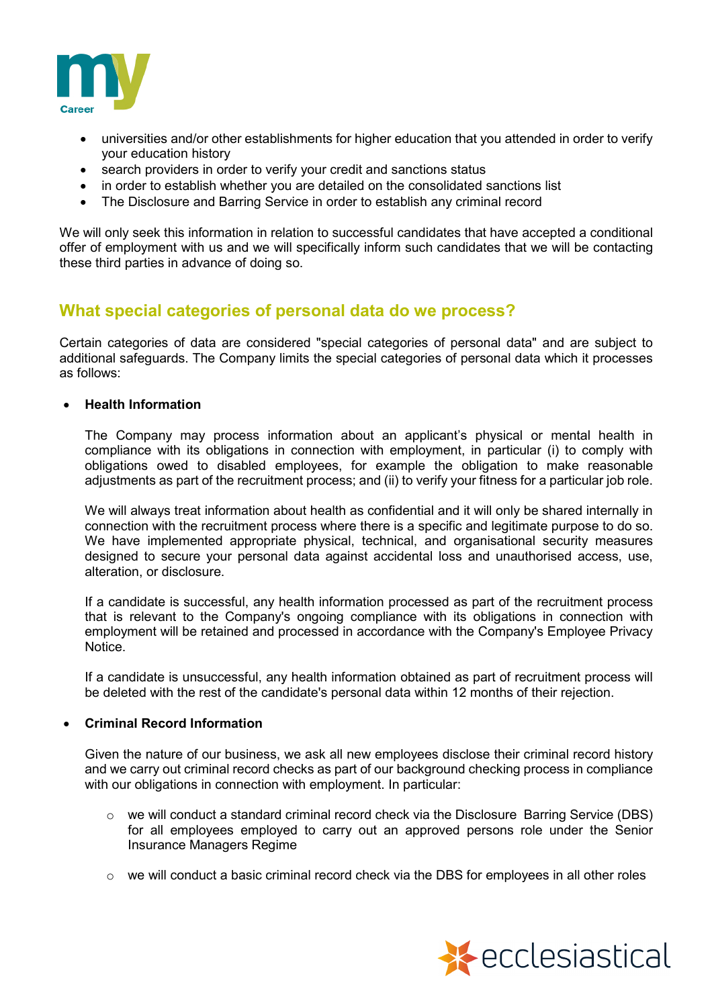

- universities and/or other establishments for higher education that you attended in order to verify your education history
- search providers in order to verify your credit and sanctions status
- in order to establish whether you are detailed on the consolidated sanctions list
- The Disclosure and Barring Service in order to establish any criminal record

We will only seek this information in relation to successful candidates that have accepted a conditional offer of employment with us and we will specifically inform such candidates that we will be contacting these third parties in advance of doing so.

### **What special categories of personal data do we process?**

Certain categories of data are considered "special categories of personal data" and are subject to additional safeguards. The Company limits the special categories of personal data which it processes as follows:

#### • **Health Information**

The Company may process information about an applicant's physical or mental health in compliance with its obligations in connection with employment, in particular (i) to comply with obligations owed to disabled employees, for example the obligation to make reasonable adjustments as part of the recruitment process; and (ii) to verify your fitness for a particular job role.

We will always treat information about health as confidential and it will only be shared internally in connection with the recruitment process where there is a specific and legitimate purpose to do so. We have implemented appropriate physical, technical, and organisational security measures designed to secure your personal data against accidental loss and unauthorised access, use, alteration, or disclosure.

If a candidate is successful, any health information processed as part of the recruitment process that is relevant to the Company's ongoing compliance with its obligations in connection with employment will be retained and processed in accordance with the Company's Employee Privacy Notice.

If a candidate is unsuccessful, any health information obtained as part of recruitment process will be deleted with the rest of the candidate's personal data within 12 months of their rejection.

#### • **Criminal Record Information**

Given the nature of our business, we ask all new employees disclose their criminal record history and we carry out criminal record checks as part of our background checking process in compliance with our obligations in connection with employment. In particular:

- $\circ$  we will conduct a standard criminal record check via the Disclosure Barring Service (DBS) for all employees employed to carry out an approved persons role under the Senior Insurance Managers Regime
- $\circ$  we will conduct a basic criminal record check via the DBS for employees in all other roles

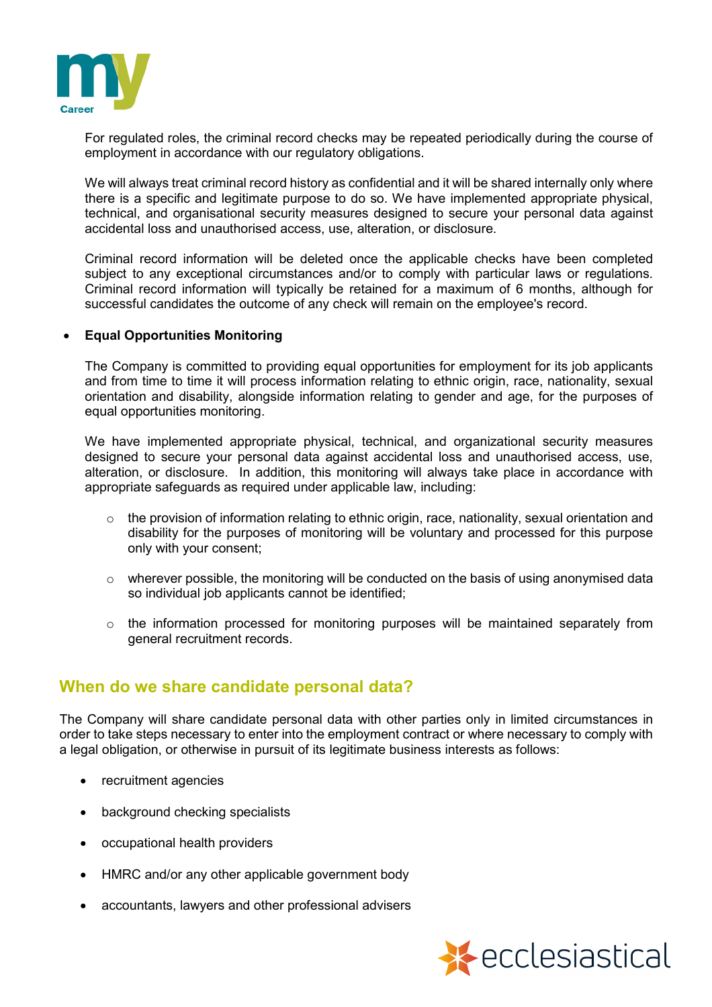

For regulated roles, the criminal record checks may be repeated periodically during the course of employment in accordance with our regulatory obligations.

We will always treat criminal record history as confidential and it will be shared internally only where there is a specific and legitimate purpose to do so. We have implemented appropriate physical, technical, and organisational security measures designed to secure your personal data against accidental loss and unauthorised access, use, alteration, or disclosure.

Criminal record information will be deleted once the applicable checks have been completed subject to any exceptional circumstances and/or to comply with particular laws or regulations. Criminal record information will typically be retained for a maximum of 6 months, although for successful candidates the outcome of any check will remain on the employee's record.

#### • **Equal Opportunities Monitoring**

The Company is committed to providing equal opportunities for employment for its job applicants and from time to time it will process information relating to ethnic origin, race, nationality, sexual orientation and disability, alongside information relating to gender and age, for the purposes of equal opportunities monitoring.

We have implemented appropriate physical, technical, and organizational security measures designed to secure your personal data against accidental loss and unauthorised access, use, alteration, or disclosure. In addition, this monitoring will always take place in accordance with appropriate safeguards as required under applicable law, including:

- $\circ$  the provision of information relating to ethnic origin, race, nationality, sexual orientation and disability for the purposes of monitoring will be voluntary and processed for this purpose only with your consent;
- $\circ$  wherever possible, the monitoring will be conducted on the basis of using anonymised data so individual job applicants cannot be identified;
- $\circ$  the information processed for monitoring purposes will be maintained separately from general recruitment records.

### **When do we share candidate personal data?**

The Company will share candidate personal data with other parties only in limited circumstances in order to take steps necessary to enter into the employment contract or where necessary to comply with a legal obligation, or otherwise in pursuit of its legitimate business interests as follows:

- recruitment agencies
- background checking specialists
- occupational health providers
- HMRC and/or any other applicable government body
- accountants, lawyers and other professional advisers

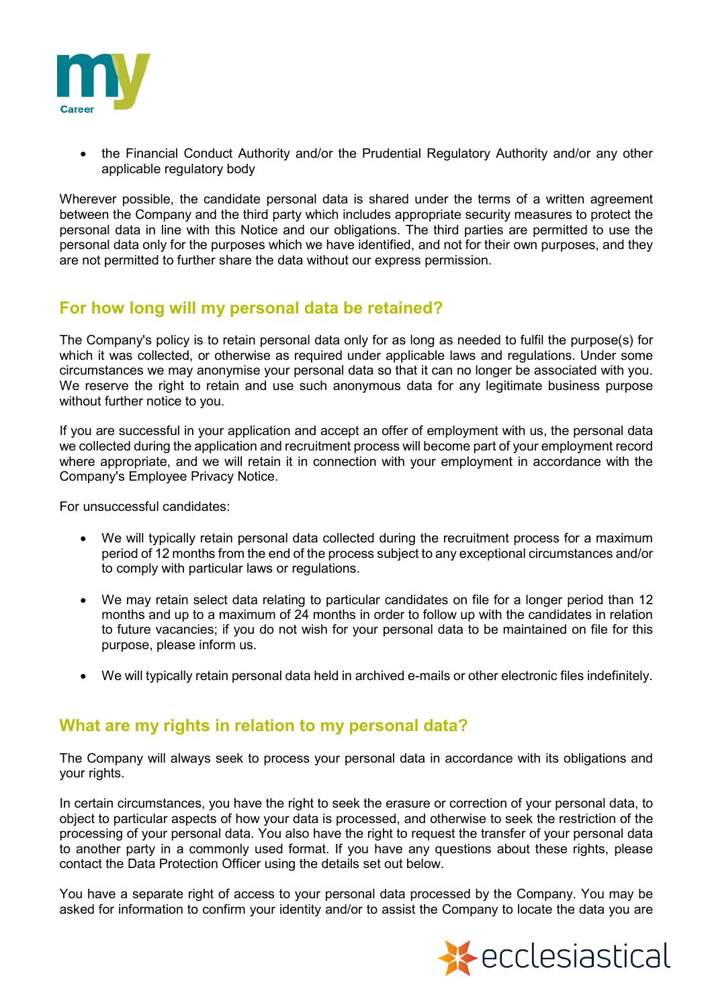

• the Financial Conduct Authority and/or the Prudential Regulatory Authority and/or any other applicable regulatory body

Wherever possible, the candidate personal data is shared under the terms of a written agreement between the Company and the third party which includes appropriate security measures to protect the personal data in line with this Notice and our obligations. The third parties are permitted to use the personal data only for the purposes which we have identified, and not for their own purposes, and they are not permitted to further share the data without our express permission.

# **For how long will my personal data be retained?**

The Company's policy is to retain personal data only for as long as needed to fulfil the purpose(s) for which it was collected, or otherwise as required under applicable laws and regulations. Under some circumstances we may anonymise your personal data so that it can no longer be associated with you. We reserve the right to retain and use such anonymous data for any legitimate business purpose without further notice to you.

If you are successful in your application and accept an offer of employment with us, the personal data we collected during the application and recruitment process will become part of your employment record where appropriate, and we will retain it in connection with your employment in accordance with the Company's Employee Privacy Notice.

For unsuccessful candidates:

- We will typically retain personal data collected during the recruitment process for a maximum period of 12 months from the end of the process subject to any exceptional circumstances and/or to comply with particular laws or regulations.
- We may retain select data relating to particular candidates on file for a longer period than 12 months and up to a maximum of 24 months in order to follow up with the candidates in relation to future vacancies; if you do not wish for your personal data to be maintained on file for this purpose, please inform us.
- We will typically retain personal data held in archived e-mails or other electronic files indefinitely.

### **What are my rights in relation to my personal data?**

The Company will always seek to process your personal data in accordance with its obligations and your rights.

In certain circumstances, you have the right to seek the erasure or correction of your personal data, to object to particular aspects of how your data is processed, and otherwise to seek the restriction of the processing of your personal data. You also have the right to request the transfer of your personal data to another party in a commonly used format. If you have any questions about these rights, please contact the Data Protection Officer using the details set out below.

You have a separate right of access to your personal data processed by the Company. You may be asked for information to confirm your identity and/or to assist the Company to locate the data you are